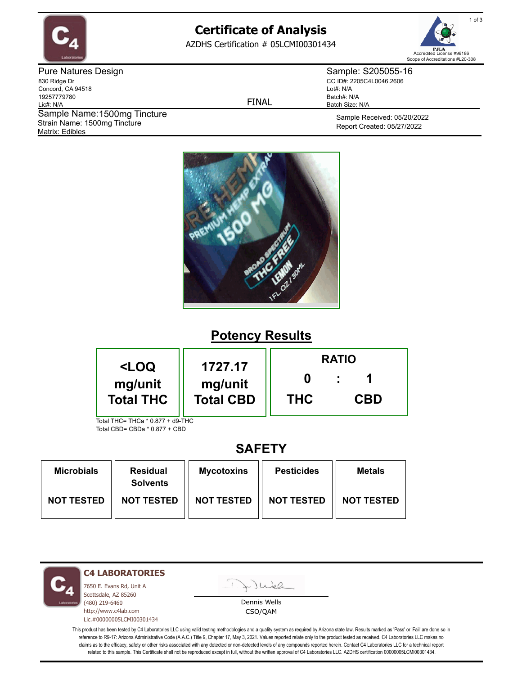

# **Certificate of Analysis**

AZDHS Certification # 05LCMI00301434



Pure Natures Design 830 Ridge Dr Concord, CA 94518 19257779780 Lic#: N/A Matrix: Edibles Sample Name: 1500mg Tincture Strain Name: 1500mg Tincture

FINAL

Sample: S205055-16 CC ID#: 2205C4L0046.2606 Lot#: N/A Batch#: N/A Batch Size: N/A

> Sample Received: 05/20/2022 Report Created: 05/27/2022



## **Potency Results**

| <loq< th=""><th>1727.17</th><th colspan="3"><b>RATIO</b></th></loq<> | 1727.17    | <b>RATIO</b> |  |  |
|----------------------------------------------------------------------|------------|--------------|--|--|
| mg/unit<br>mg/unit<br><b>Total THC</b><br><b>Total CBD</b>           | <b>THC</b> | <b>CBD</b>   |  |  |
| Total THC= THCa * 0.877 + d9-THC                                     |            |              |  |  |

Total CBD= CBDa \* 0.877 + CBD

### **SAFETY**

| <b>Microbials</b> | <b>Residual</b><br><b>Solvents</b> | <b>Mycotoxins</b> | <b>Pesticides</b> | <b>Metals</b>     |
|-------------------|------------------------------------|-------------------|-------------------|-------------------|
| <b>NOT TESTED</b> | <b>NOT TESTED</b>                  | <b>NOT TESTED</b> | <b>NOT TESTED</b> | <b>NOT TESTED</b> |

**C4 LABORATORIES**

7650 E. Evans Rd, Unit A Scottsdale, AZ 85260 (480) 219-6460 http://www.c4lab.com Lic.#00000005LCMI00301434

Juea

Dennis Wells CSO/QAM

This product has been tested by C4 Laboratories LLC using valid testing methodologies and a quality system as required by Arizona state law. Results marked as 'Pass' or 'Fail' are done so in reference to R9-17: Arizona Administrative Code (A.A.C.) Title 9, Chapter 17, May 3, 2021. Values reported relate only to the product tested as received. C4 Laboratories LLC makes no claims as to the efficacy, safety or other risks associated with any detected or non-detected levels of any compounds reported herein. Contact C4 Laboratories LLC for a technical report related to this sample. This Certificate shall not be reproduced except in full, without the written approval of C4 Laboratories LLC. AZDHS certification 00000005LCMI00301434.

1 of 3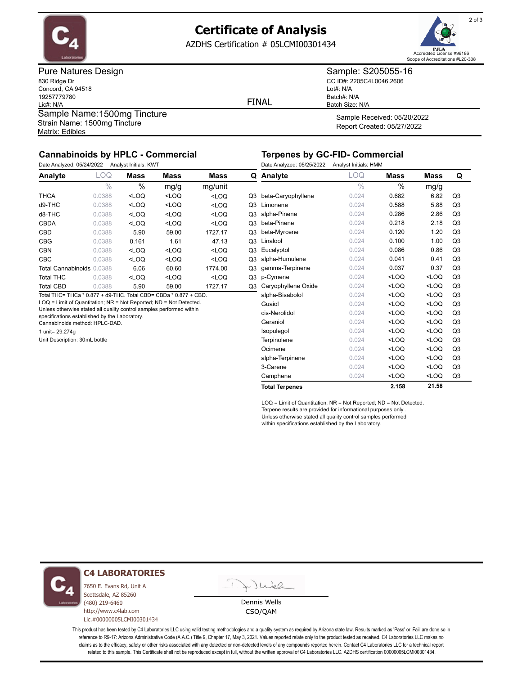

### **Certificate of Analysis**

AZDHS Certification # 05LCMI00301434



Pure Natures Design 830 Ridge Dr Concord, CA 94518 19257779780 Lic#: N/A Matrix: Edibles Sample Name: 1500mg Tincture Strain Name: 1500mg Tincture

FINAL

Sample: S205055-16 CC ID#: 2205C4L0046.2606 Lot#: N/A Batch#: N/A Batch Size: N/A

Sample Received: 05/20/2022 Report Created: 05/27/2022

### **Cannabinoids by HPLC - Commercial**

Date Analyzed: 05/24/2022 Analyst Initials: KWT

#### **Terpenes by GC-FID- Commercial** Date Analyzed: 05/25/2022 Analyst Initials: HMM

| Date Analyzed: 05/24/2022<br>Analyst Initials: KWT               |               |                                                                                                                      |                                                                             |                                                 | Date Analyzed: 05/25/ |                       |
|------------------------------------------------------------------|---------------|----------------------------------------------------------------------------------------------------------------------|-----------------------------------------------------------------------------|-------------------------------------------------|-----------------------|-----------------------|
| Analyte                                                          | LOQ           | <b>Mass</b>                                                                                                          | <b>Mass</b>                                                                 | Mass                                            | Q                     | Analyte               |
|                                                                  | $\frac{0}{0}$ | %                                                                                                                    | mg/g                                                                        | mg/unit                                         |                       |                       |
| THCA                                                             | 0.0388        | <loq< td=""><td><math>&lt;</math>LOQ</td><td><math>&lt;</math>LOQ</td><td></td><td>Q3 beta-Caryophyllene</td></loq<> | $<$ LOQ                                                                     | $<$ LOQ                                         |                       | Q3 beta-Caryophyllene |
| d9-THC                                                           | 0.0388        | $<$ LOQ                                                                                                              | <loq< td=""><td><loq< td=""><td>Q3</td><td>Limonene</td></loq<></td></loq<> | <loq< td=""><td>Q3</td><td>Limonene</td></loq<> | Q3                    | Limonene              |
| d8-THC                                                           | 0.0388        | $<$ LOQ                                                                                                              | $<$ LOQ                                                                     | $<$ LOQ                                         |                       | Q3 alpha-Pinene       |
| CBDA                                                             | 0.0388        | $<$ LOQ                                                                                                              | $<$ LOQ                                                                     | $<$ LOQ                                         | Q3                    | beta-Pinene           |
| CBD                                                              | 0.0388        | 5.90                                                                                                                 | 59.00                                                                       | 1727.17                                         |                       | Q3 beta-Myrcene       |
| <b>CBG</b>                                                       | 0.0388        | 0.161                                                                                                                | 1.61                                                                        | 47.13                                           |                       | Q3 Linalool           |
| CBN                                                              | 0.0388        | $<$ LOQ                                                                                                              | $<$ LOQ                                                                     | $<$ LOQ                                         |                       | Q3 Eucalyptol         |
| <b>CBC</b>                                                       | 0.0388        | $<$ LOQ                                                                                                              | $<$ LOQ                                                                     | $<$ LOQ                                         | Q3                    | alpha-Humulene        |
| Total Cannabinoids 0.0388                                        |               | 6.06                                                                                                                 | 60.60                                                                       | 1774.00                                         | Q3                    | gamma-Terpinene       |
| <b>Total THC</b>                                                 | 0.0388        | $<$ LOQ                                                                                                              | $<$ LOQ                                                                     | $<$ LOQ                                         |                       | Q3 p-Cymene           |
| <b>Total CBD</b>                                                 | 0.0388        | 5.90                                                                                                                 | 59.00                                                                       | 1727.17                                         | Q3                    | Caryophyllene Oxio    |
| Total THC= THCa * 0.877 + d9-THC. Total CBD= CBDa * 0.877 + CBD. |               |                                                                                                                      |                                                                             |                                                 |                       | alpha-Bisabolol       |

LOQ = Limit of Quantitation; NR = Not Reported; ND = Not Detected.

Unless otherwise stated all quality control samples performed within

specifications established by the Laboratory. Cannabinoids method: HPLC-DAD.

1 unit= 29.274g

Unit Description: 30mL bottle

| Date Arialyzed. 05/25/2022 | Analyst mitals. Hivin |         |                                           |                |
|----------------------------|-----------------------|---------|-------------------------------------------|----------------|
| Analyte                    | <b>LOQ</b>            | Mass    | <b>Mass</b>                               | Q              |
|                            | $\frac{0}{0}$         | %       | mg/g                                      |                |
| beta-Caryophyllene         | 0.024                 | 0.682   | 6.82                                      | Q <sub>3</sub> |
| Limonene                   | 0.024                 | 0.588   | 5.88                                      | Q <sub>3</sub> |
| alpha-Pinene               | 0.024                 | 0.286   | 2.86                                      | Q <sub>3</sub> |
| beta-Pinene                | 0.024                 | 0.218   | 2.18                                      | Q <sub>3</sub> |
| beta-Myrcene               | 0.024                 | 0.120   | 1.20                                      | Q <sub>3</sub> |
| Linalool                   | 0.024                 | 0.100   | 1.00                                      | Q <sub>3</sub> |
| Eucalyptol                 | 0.024                 | 0.086   | 0.86                                      | Q <sub>3</sub> |
| alpha-Humulene             | 0.024                 | 0.041   | 0.41                                      | Q <sub>3</sub> |
| gamma-Terpinene            | 0.024                 | 0.037   | 0.37                                      | Q <sub>3</sub> |
| p-Cymene                   | 0.024                 | $<$ LOQ | $<$ LOQ                                   | Q <sub>3</sub> |
| Caryophyllene Oxide        | 0.024                 | $<$ LOQ | $<$ LOQ                                   | Q <sub>3</sub> |
| alpha-Bisabolol            | 0.024                 | $<$ LOQ | <loq< td=""><td>Q<sub>3</sub></td></loq<> | Q <sub>3</sub> |
| Guaiol                     | 0.024                 | $<$ LOQ | $<$ LOQ                                   | Q <sub>3</sub> |
| cis-Nerolidol              | 0.024                 | $<$ LOQ | <loq< td=""><td>Q<sub>3</sub></td></loq<> | Q <sub>3</sub> |
| Geraniol                   | 0.024                 | $<$ LOQ | $<$ LOQ                                   | Q <sub>3</sub> |
| Isopulegol                 | 0.024                 | $<$ LOQ | $<$ LOQ                                   | Q <sub>3</sub> |
| Terpinolene                | 0.024                 | $<$ LOQ | $<$ LOQ                                   | Q <sub>3</sub> |
| Ocimene                    | 0.024                 | $<$ LOQ | $<$ LOQ                                   | Q <sub>3</sub> |
| alpha-Terpinene            | 0.024                 | $<$ LOQ | $<$ LOQ                                   | Q <sub>3</sub> |
| 3-Carene                   | 0.024                 | $<$ LOQ | $<$ LOQ                                   | Q <sub>3</sub> |
| Camphene                   | 0.024                 | $<$ LOQ | <loq< td=""><td>Q<sub>3</sub></td></loq<> | Q <sub>3</sub> |
| <b>Total Terpenes</b>      |                       | 2.158   | 21.58                                     |                |

LOQ = Limit of Quantitation; NR = Not Reported; ND = Not Detected. Terpene results are provided for informational purposes only . Unless otherwise stated all quality control samples performed within specifications established by the Laboratory.



**C4 LABORATORIES**

7650 E. Evans Rd, Unit A Scottsdale, AZ 85260 (480) 219-6460 http://www.c4lab.com Lic.#00000005LCMI00301434

 $\cup$ Wel

Dennis Wells CSO/QAM

This product has been tested by C4 Laboratories LLC using valid testing methodologies and a quality system as required by Arizona state law. Results marked as 'Pass' or 'Fail' are done so in reference to R9-17: Arizona Administrative Code (A.A.C.) Title 9, Chapter 17, May 3, 2021. Values reported relate only to the product tested as received. C4 Laboratories LLC makes no claims as to the efficacy, safety or other risks associated with any detected or non-detected levels of any compounds reported herein. Contact C4 Laboratories LLC for a technical report related to this sample. This Certificate shall not be reproduced except in full, without the written approval of C4 Laboratories LLC. AZDHS certification 00000005LCMI00301434.

2 of 3